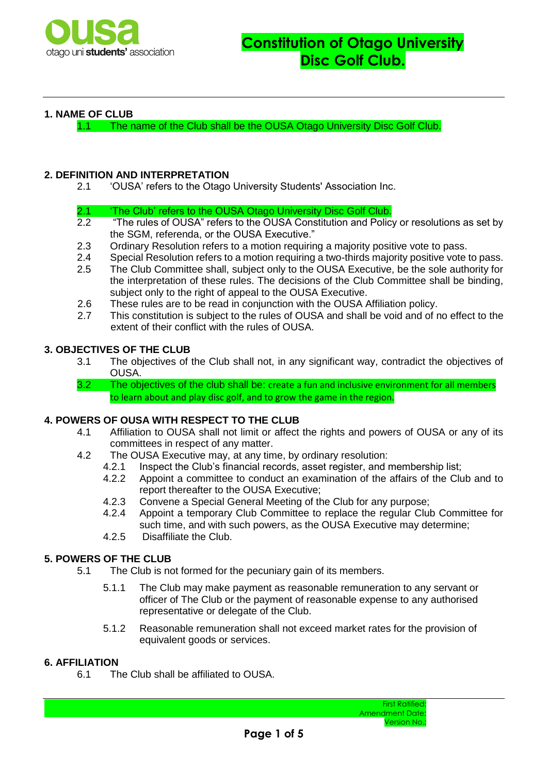

### **1. NAME OF CLUB**

1.1 The name of the Club shall be the OUSA Otago University Disc Golf Club.

# **2. DEFINITION AND INTERPRETATION**

- 2.1 'OUSA' refers to the Otago University Students' Association Inc.
- 2.1 The Club' refers to the OUSA Otago University Disc Golf Club.
- 2.2 "The rules of OUSA" refers to the OUSA Constitution and Policy or resolutions as set by the SGM, referenda, or the OUSA Executive."
- 2.3 Ordinary Resolution refers to a motion requiring a majority positive vote to pass.<br>2.4 Special Resolution refers to a motion requiring a two-thirds majority positive vote
- 2.4 Special Resolution refers to a motion requiring a two-thirds majority positive vote to pass.
- 2.5 The Club Committee shall, subject only to the OUSA Executive, be the sole authority for the interpretation of these rules. The decisions of the Club Committee shall be binding, subject only to the right of appeal to the OUSA Executive.
- 2.6 These rules are to be read in conjunction with the OUSA Affiliation policy.
- 2.7 This constitution is subject to the rules of OUSA and shall be void and of no effect to the extent of their conflict with the rules of OUSA.

### **3. OBJECTIVES OF THE CLUB**

- 3.1 The objectives of the Club shall not, in any significant way, contradict the objectives of OUSA.
- 3.2 The objectives of the club shall be: create a fun and inclusive environment for all members to learn about and play disc golf, and to grow the game in the region.

### **4. POWERS OF OUSA WITH RESPECT TO THE CLUB**

- 4.1 Affiliation to OUSA shall not limit or affect the rights and powers of OUSA or any of its committees in respect of any matter.
- 4.2 The OUSA Executive may, at any time, by ordinary resolution:
	- 4.2.1 Inspect the Club's financial records, asset register, and membership list;<br>4.2.2 Appoint a committee to conduct an examination of the affairs of the Clu
	- Appoint a committee to conduct an examination of the affairs of the Club and to report thereafter to the OUSA Executive;
	- 4.2.3 Convene a Special General Meeting of the Club for any purpose;
	- 4.2.4 Appoint a temporary Club Committee to replace the regular Club Committee for such time, and with such powers, as the OUSA Executive may determine;
	- 4.2.5 Disaffiliate the Club.

# **5. POWERS OF THE CLUB**

- 5.1 The Club is not formed for the pecuniary gain of its members.
	- 5.1.1 The Club may make payment as reasonable remuneration to any servant or officer of The Club or the payment of reasonable expense to any authorised representative or delegate of the Club.
	- 5.1.2 Reasonable remuneration shall not exceed market rates for the provision of equivalent goods or services.

### **6. AFFILIATION**

6.1 The Club shall be affiliated to OUSA.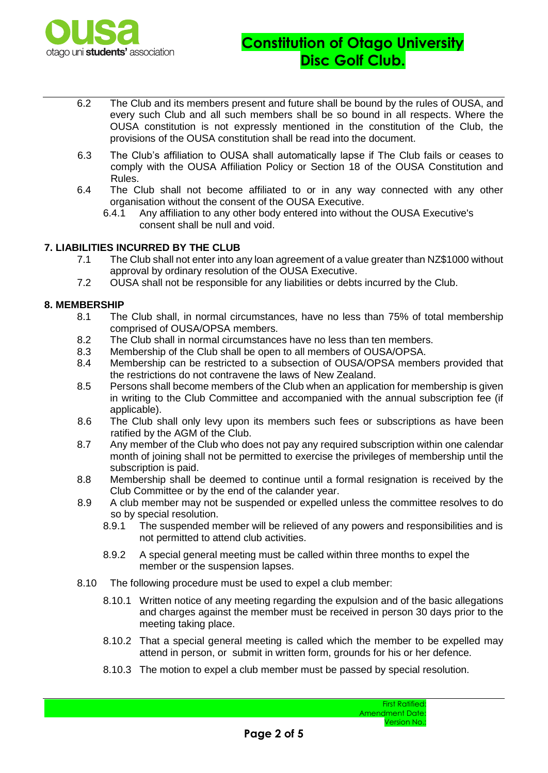

- 6.2 The Club and its members present and future shall be bound by the rules of OUSA, and every such Club and all such members shall be so bound in all respects. Where the OUSA constitution is not expressly mentioned in the constitution of the Club, the provisions of the OUSA constitution shall be read into the document.
- 6.3 The Club's affiliation to OUSA shall automatically lapse if The Club fails or ceases to comply with the OUSA Affiliation Policy or Section 18 of the OUSA Constitution and Rules.
- 6.4 The Club shall not become affiliated to or in any way connected with any other organisation without the consent of the OUSA Executive.
	- 6.4.1 Any affiliation to any other body entered into without the OUSA Executive's consent shall be null and void.

### **7. LIABILITIES INCURRED BY THE CLUB**

- 7.1 The Club shall not enter into any loan agreement of a value greater than NZ\$1000 without approval by ordinary resolution of the OUSA Executive.
- 7.2 OUSA shall not be responsible for any liabilities or debts incurred by the Club.

#### **8. MEMBERSHIP**

- 8.1 The Club shall, in normal circumstances, have no less than 75% of total membership comprised of OUSA/OPSA members.
- 8.2 The Club shall in normal circumstances have no less than ten members.
- 8.3 Membership of the Club shall be open to all members of OUSA/OPSA.
- 8.4 Membership can be restricted to a subsection of OUSA/OPSA members provided that the restrictions do not contravene the laws of New Zealand.
- 8.5 Persons shall become members of the Club when an application for membership is given in writing to the Club Committee and accompanied with the annual subscription fee (if applicable).
- 8.6 The Club shall only levy upon its members such fees or subscriptions as have been ratified by the AGM of the Club.
- 8.7 Any member of the Club who does not pay any required subscription within one calendar month of joining shall not be permitted to exercise the privileges of membership until the subscription is paid.
- 8.8 Membership shall be deemed to continue until a formal resignation is received by the Club Committee or by the end of the calander year.
- 8.9 A club member may not be suspended or expelled unless the committee resolves to do so by special resolution.
	- 8.9.1 The suspended member will be relieved of any powers and responsibilities and is not permitted to attend club activities.
	- 8.9.2 A special general meeting must be called within three months to expel the member or the suspension lapses.
- 8.10 The following procedure must be used to expel a club member:
	- 8.10.1 Written notice of any meeting regarding the expulsion and of the basic allegations and charges against the member must be received in person 30 days prior to the meeting taking place.
	- 8.10.2 That a special general meeting is called which the member to be expelled may attend in person, or submit in written form, grounds for his or her defence.
	- 8.10.3 The motion to expel a club member must be passed by special resolution.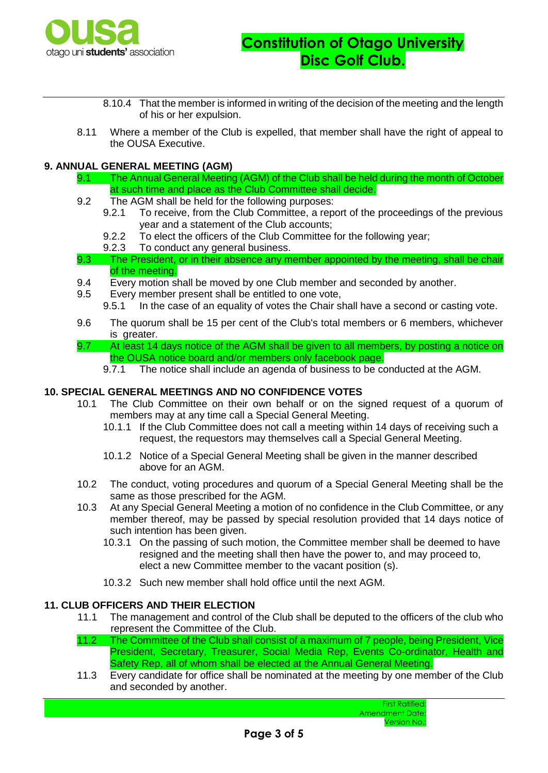

- 8.10.4 That the member is informed in writing of the decision of the meeting and the length of his or her expulsion.
- 8.11 Where a member of the Club is expelled, that member shall have the right of appeal to the OUSA Executive.

# **9. ANNUAL GENERAL MEETING (AGM)**

- 9.1 The Annual General Meeting (AGM) of the Club shall be held during the month of October at such time and place as the Club Committee shall decide.
- 9.2 The AGM shall be held for the following purposes:
	- 9.2.1 To receive, from the Club Committee, a report of the proceedings of the previous year and a statement of the Club accounts;
	- 9.2.2 To elect the officers of the Club Committee for the following year;
	- 9.2.3 To conduct any general business.
- 9.3 The President, or in their absence any member appointed by the meeting, shall be chair of the meeting.
- 9.4 Every motion shall be moved by one Club member and seconded by another.
- 9.5 Every member present shall be entitled to one vote,
	- 9.5.1 In the case of an equality of votes the Chair shall have a second or casting vote.
- 9.6 The quorum shall be 15 per cent of the Club's total members or 6 members, whichever is greater.
- 9.7 At least 14 days notice of the AGM shall be given to all members, by posting a notice on the OUSA notice board and/or members only facebook page.
	- 9.7.1 The notice shall include an agenda of business to be conducted at the AGM.

### **10. SPECIAL GENERAL MEETINGS AND NO CONFIDENCE VOTES**

- 10.1 The Club Committee on their own behalf or on the signed request of a quorum of members may at any time call a Special General Meeting.
	- 10.1.1 If the Club Committee does not call a meeting within 14 days of receiving such a request, the requestors may themselves call a Special General Meeting.
	- 10.1.2 Notice of a Special General Meeting shall be given in the manner described above for an AGM.
- 10.2 The conduct, voting procedures and quorum of a Special General Meeting shall be the same as those prescribed for the AGM.
- 10.3 At any Special General Meeting a motion of no confidence in the Club Committee, or any member thereof, may be passed by special resolution provided that 14 days notice of such intention has been given.
	- 10.3.1 On the passing of such motion, the Committee member shall be deemed to have resigned and the meeting shall then have the power to, and may proceed to, elect a new Committee member to the vacant position (s).
	- 10.3.2 Such new member shall hold office until the next AGM.

#### **11. CLUB OFFICERS AND THEIR ELECTION**

- 11.1 The management and control of the Club shall be deputed to the officers of the club who represent the Committee of the Club.
- 11.2 The Committee of the Club shall consist of a maximum of 7 people, being President, Vice President, Secretary, Treasurer, Social Media Rep, Events Co-ordinator, Health and Safety Rep, all of whom shall be elected at the Annual General Meeting.
- 11.3 Every candidate for office shall be nominated at the meeting by one member of the Club and seconded by another.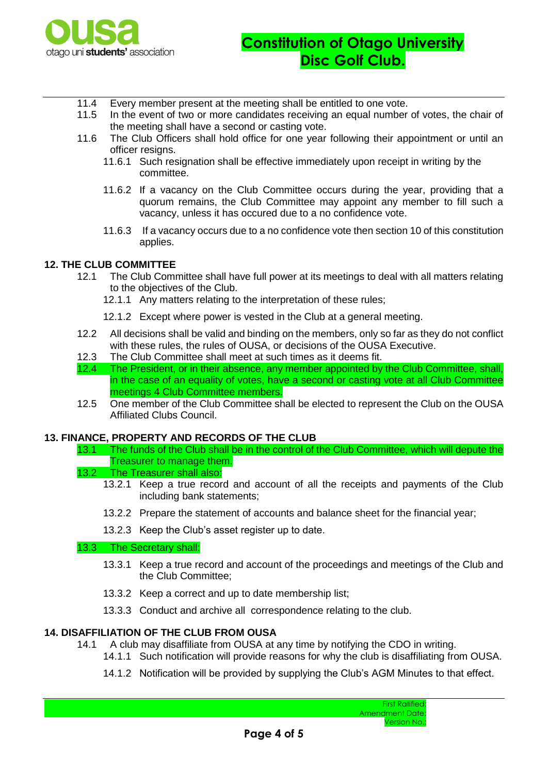

- 11.4 Every member present at the meeting shall be entitled to one vote.
- 11.5 In the event of two or more candidates receiving an equal number of votes, the chair of the meeting shall have a second or casting vote.
- 11.6 The Club Officers shall hold office for one year following their appointment or until an officer resigns.
	- 11.6.1 Such resignation shall be effective immediately upon receipt in writing by the committee.
	- 11.6.2 If a vacancy on the Club Committee occurs during the year, providing that a quorum remains, the Club Committee may appoint any member to fill such a vacancy, unless it has occured due to a no confidence vote.
	- 11.6.3 If a vacancy occurs due to a no confidence vote then section 10 of this constitution applies.

# **12. THE CLUB COMMITTEE**

- 12.1 The Club Committee shall have full power at its meetings to deal with all matters relating to the objectives of the Club.
	- 12.1.1 Any matters relating to the interpretation of these rules;
	- 12.1.2 Except where power is vested in the Club at a general meeting.
- 12.2 All decisions shall be valid and binding on the members, only so far as they do not conflict with these rules, the rules of OUSA, or decisions of the OUSA Executive.
- 12.3 The Club Committee shall meet at such times as it deems fit.
- 12.4 The President, or in their absence, any member appointed by the Club Committee, shall, in the case of an equality of votes, have a second or casting vote at all Club Committee meetings 4 Club Committee members.
- 12.5 One member of the Club Committee shall be elected to represent the Club on the OUSA Affiliated Clubs Council.

#### **13. FINANCE, PROPERTY AND RECORDS OF THE CLUB**

- 13.1 The funds of the Club shall be in the control of the Club Committee, which will depute the Treasurer to manage them.
- 13.2 The Treasurer shall also:
	- 13.2.1 Keep a true record and account of all the receipts and payments of the Club including bank statements;
	- 13.2.2 Prepare the statement of accounts and balance sheet for the financial year;
	- 13.2.3 Keep the Club's asset register up to date.

#### 13.3 The Secretary shall:

- 13.3.1 Keep a true record and account of the proceedings and meetings of the Club and the Club Committee;
- 13.3.2 Keep a correct and up to date membership list;
- 13.3.3 Conduct and archive all correspondence relating to the club.

### **14. DISAFFILIATION OF THE CLUB FROM OUSA**

- 14.1 A club may disaffiliate from OUSA at any time by notifying the CDO in writing.
	- 14.1.1 Such notification will provide reasons for why the club is disaffiliating from OUSA.
	- 14.1.2 Notification will be provided by supplying the Club's AGM Minutes to that effect.